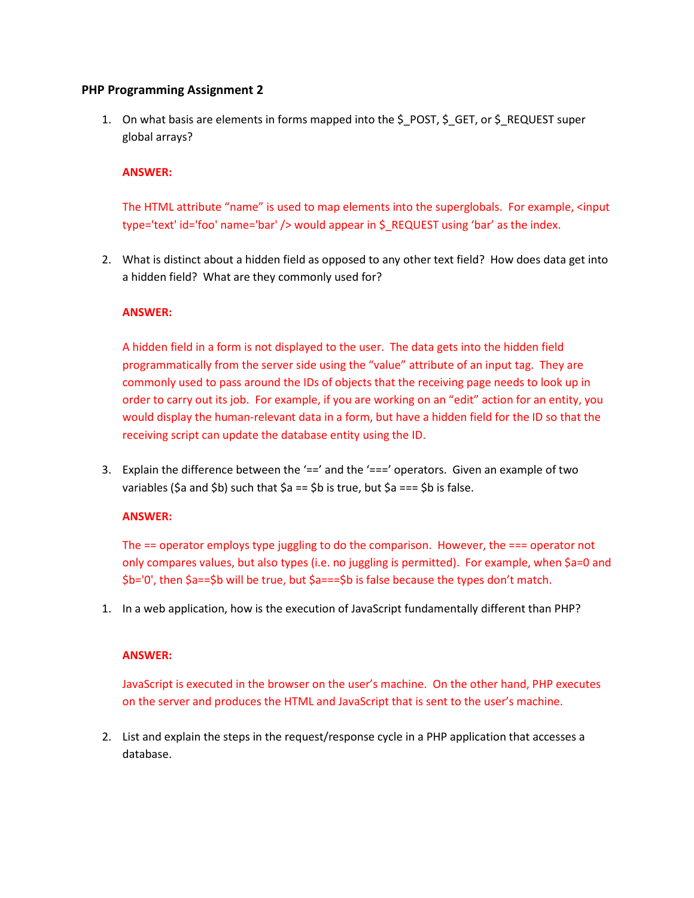### **PHP Programming Assignment 2**

1. On what basis are elements in forms mapped into the \$\_POST, \$\_GET, or \$\_REQUEST super global arrays?

### **ANSWER:**

The HTML attribute "name" is used to map elements into the superglobals. For example, <input type='text' id='foo' name='bar' /> would appear in \$\_REQUEST using 'bar' as the index.

2. What is distinct about a hidden field as opposed to any other text field? How does data get into a hidden field? What are they commonly used for?

## **ANSWER:**

A hidden field in a form is not displayed to the user. The data gets into the hidden field programmatically from the server side using the "value" attribute of an input tag. They are commonly used to pass around the IDs of objects that the receiving page needs to look up in order to carry out its job. For example, if you are working on an "edit" action for an entity, you would display the human-relevant data in a form, but have a hidden field for the ID so that the receiving script can update the database entity using the ID.

3. Explain the difference between the  $y'=-$  and the  $y'=-$  operators. Given an example of two variables (\$a and \$b) such that  $\sin x = \sin x$  is true, but  $\sin x = \sin x$  is false.

#### **ANSWER:**

The  $==$  operator employs type juggling to do the comparison. However, the  $==$  operator not only compares values, but also types (i.e. no juggling is permitted). For example, when \$a=0 and \$b='0', then \$a==\$b will be true, but \$a===\$b is false because the types don't match.

1. In a web application, how is the execution of JavaScript fundamentally different than PHP?

#### **ANSWER:**

JavaScript is executed in the browser on the user's machine. On the other hand, PHP executes on the server and produces the HTML and JavaScript that is sent to the user's machine.

2. List and explain the steps in the request/response cycle in a PHP application that accesses a database.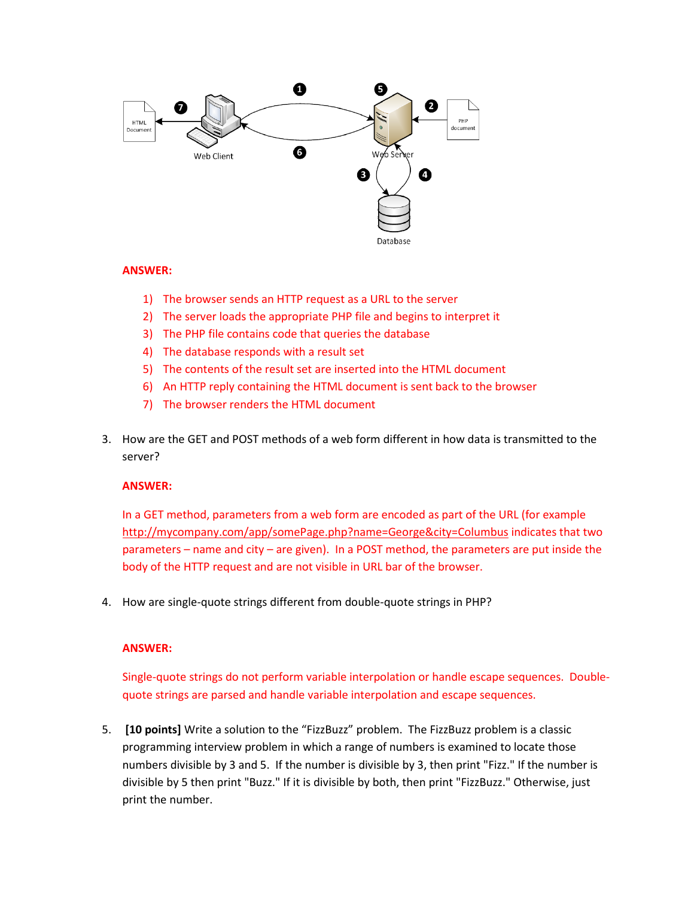

#### **ANSWER:**

- 1) The browser sends an HTTP request as a URL to the server
- 2) The server loads the appropriate PHP file and begins to interpret it
- 3) The PHP file contains code that queries the database
- 4) The database responds with a result set
- 5) The contents of the result set are inserted into the HTML document
- 6) An HTTP reply containing the HTML document is sent back to the browser
- 7) The browser renders the HTML document
- 3. How are the GET and POST methods of a web form different in how data is transmitted to the server?

#### **ANSWER:**

In a GET method, parameters from a web form are encoded as part of the URL (for example <http://mycompany.com/app/somePage.php?name=George&city=Columbus> indicates that two parameters – name and city – are given). In a POST method, the parameters are put inside the body of the HTTP request and are not visible in URL bar of the browser.

4. How are single-quote strings different from double-quote strings in PHP?

#### **ANSWER:**

Single-quote strings do not perform variable interpolation or handle escape sequences. Doublequote strings are parsed and handle variable interpolation and escape sequences.

5. **[10 points]** Write a solution to the "FizzBuzz" problem. The FizzBuzz problem is a classic programming interview problem in which a range of numbers is examined to locate those numbers divisible by 3 and 5. If the number is divisible by 3, then print "Fizz." If the number is divisible by 5 then print "Buzz." If it is divisible by both, then print "FizzBuzz." Otherwise, just print the number.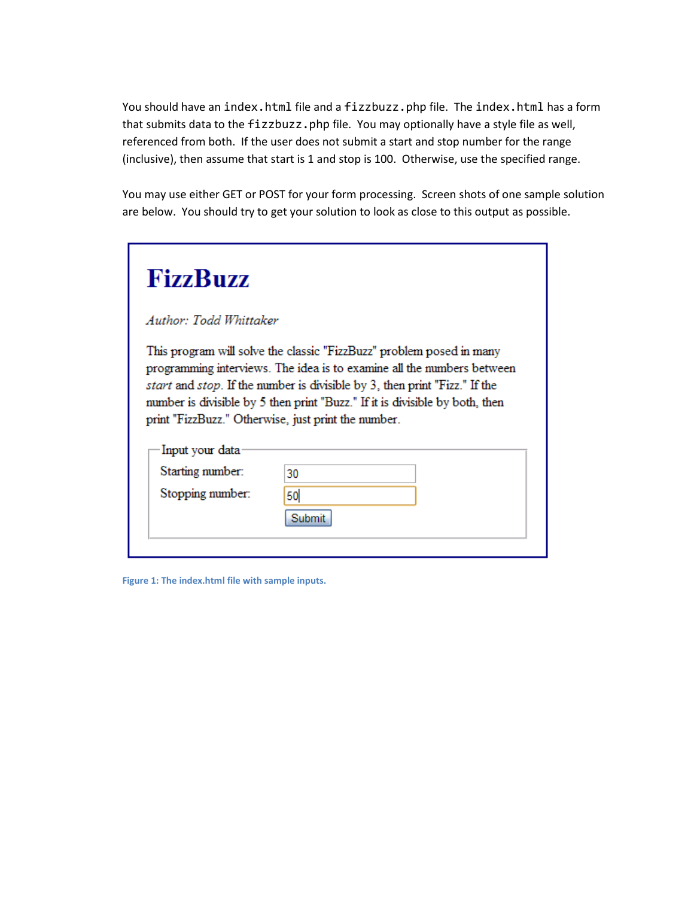You should have an index.html file and a fizzbuzz.php file. The index.html has a form that submits data to the fizzbuzz.php file. You may optionally have a style file as well, referenced from both. If the user does not submit a start and stop number for the range (inclusive), then assume that start is 1 and stop is 100. Otherwise, use the specified range.

You may use either GET or POST for your form processing. Screen shots of one sample solution are below. You should try to get your solution to look as close to this output as possible.

| <b>FizzBuzz</b>        |                                                                                                                                                                                                                                                                                                                                                                                    |
|------------------------|------------------------------------------------------------------------------------------------------------------------------------------------------------------------------------------------------------------------------------------------------------------------------------------------------------------------------------------------------------------------------------|
| Author: Todd Whittaker |                                                                                                                                                                                                                                                                                                                                                                                    |
|                        | This program will solve the classic "FizzBuzz" problem posed in many<br>programming interviews. The idea is to examine all the numbers between<br><i>start</i> and <i>stop</i> . If the number is divisible by 3, then print "Fizz." If the<br>number is divisible by 5 then print "Buzz." If it is divisible by both, then<br>print "FizzBuzz." Otherwise, just print the number. |
| Input your data        |                                                                                                                                                                                                                                                                                                                                                                                    |
| Starting number:       | 30                                                                                                                                                                                                                                                                                                                                                                                 |
| Stopping number:       | 50<br>Submit                                                                                                                                                                                                                                                                                                                                                                       |

**Figure 1: The index.html file with sample inputs.**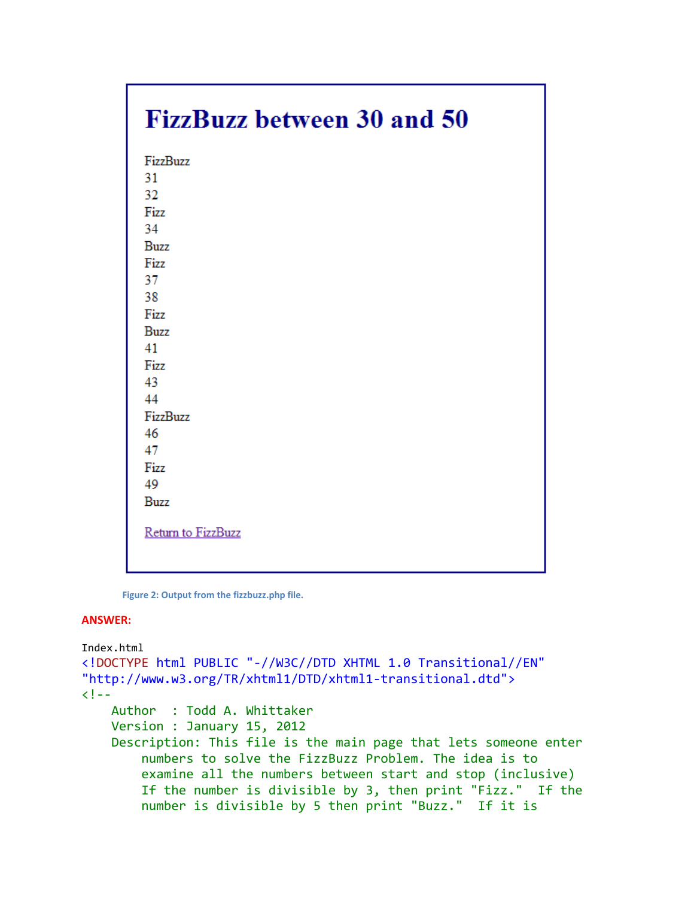# **FizzBuzz between 30 and 50**

| FizzBuzz           |
|--------------------|
| 31                 |
| 32                 |
| Fizz               |
| 34                 |
| <b>Buzz</b>        |
| Fizz               |
| 37                 |
| 38                 |
| Fizz               |
| <b>Buzz</b>        |
| 41                 |
| Fizz               |
| 43                 |
| 44                 |
| FizzBuzz           |
| 46                 |
| 47                 |
| Fizz               |
| 49                 |
| <b>Buzz</b>        |
|                    |
| Return to FizzBuzz |
|                    |
|                    |

**Figure 2: Output from the fizzbuzz.php file.**

#### **ANSWER:**

```
Index.html
<!DOCTYPE html PUBLIC "-//W3C//DTD XHTML 1.0 Transitional//EN"
"http://www.w3.org/TR/xhtml1/DTD/xhtml1-transitional.dtd">
< 1 - - Author : Todd A. Whittaker
     Version : January 15, 2012
    Description: This file is the main page that lets someone enter
         numbers to solve the FizzBuzz Problem. The idea is to
         examine all the numbers between start and stop (inclusive)
         If the number is divisible by 3, then print "Fizz." If the
         number is divisible by 5 then print "Buzz." If it is
```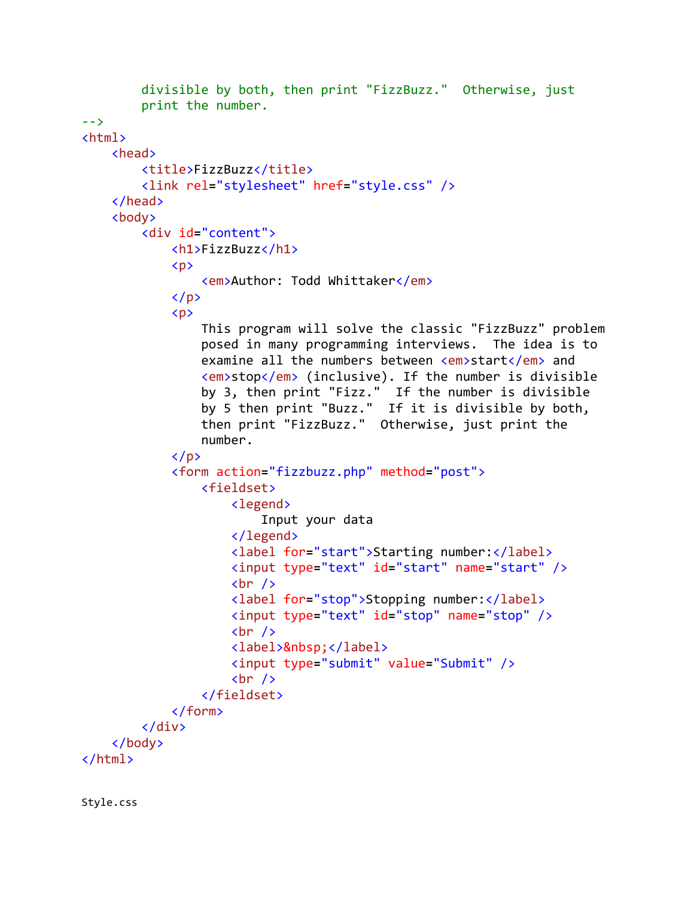```
 divisible by both, then print "FizzBuzz." Otherwise, just
         print the number.
-->
<html>
     <head>
         <title>FizzBuzz</title>
         <link rel="stylesheet" href="style.css" />
     </head>
     <body>
         <div id="content">
             <h1>FizzBuzz</h1>
            \langle p \rangle <em>Author: Todd Whittaker</em>
            \langle/p>
            \langle p \rangle This program will solve the classic "FizzBuzz" problem
                  posed in many programming interviews. The idea is to
                 examine all the numbers between <em>start</em> and
                  <em>stop</em> (inclusive). If the number is divisible
 by 3, then print "Fizz." If the number is divisible
 by 5 then print "Buzz." If it is divisible by both,
                 then print "FizzBuzz." Otherwise, just print the
                  number.
            \langle/p>
             <form action="fizzbuzz.php" method="post">
                  <fieldset>
                      <legend>
                          Input your data
                      </legend>
                     <label for="start">Starting number:</label>
                      <input type="text" id="start" name="start" />
                     \text{br} />
                     <label for="stop">Stopping number:</label>
                      <input type="text" id="stop" name="stop" />
                     \text{br} />
                     <label>&nbsp;</label>
                      <input type="submit" value="Submit" />
                     \text{br} />
                  </fieldset>
             </form>
         </div>
     </body>
</html>
```
Style.css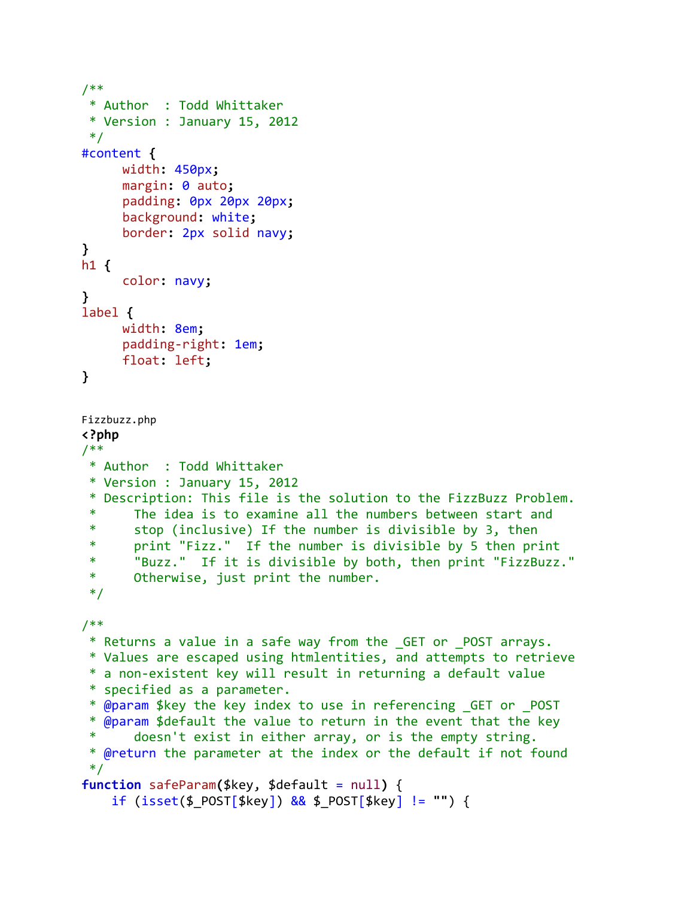```
/**
 * Author : Todd Whittaker
 * Version : January 15, 2012
 */
#content {
     width: 450px;
     margin: 0 auto;
     padding: 0px 20px 20px;
     background: white;
     border: 2px solid navy;
}
h1 {
     color: navy;
}
label {
     width: 8em;
     padding-right: 1em;
     float: left;
}
Fizzbuzz.php
<?php
/**
 * Author : Todd Whittaker
 * Version : January 15, 2012
 * Description: This file is the solution to the FizzBuzz Problem.
 * The idea is to examine all the numbers between start and
 * stop (inclusive) If the number is divisible by 3, then
 * print "Fizz." If the number is divisible by 5 then print
 * "Buzz." If it is divisible by both, then print "FizzBuzz."
 * Otherwise, just print the number.
 */
/**
 * Returns a value in a safe way from the _GET or _POST arrays.
 * Values are escaped using htmlentities, and attempts to retrieve
 * a non-existent key will result in returning a default value
 * specified as a parameter.
 * @param $key the key index to use in referencing _GET or _POST
 * @param $default the value to return in the event that the key
 * doesn't exist in either array, or is the empty string.
 * @return the parameter at the index or the default if not found
 */
function safeParam($key, $default = null) {
    if (isset($_POST[$key]) && $_POST[$key] != "") {
```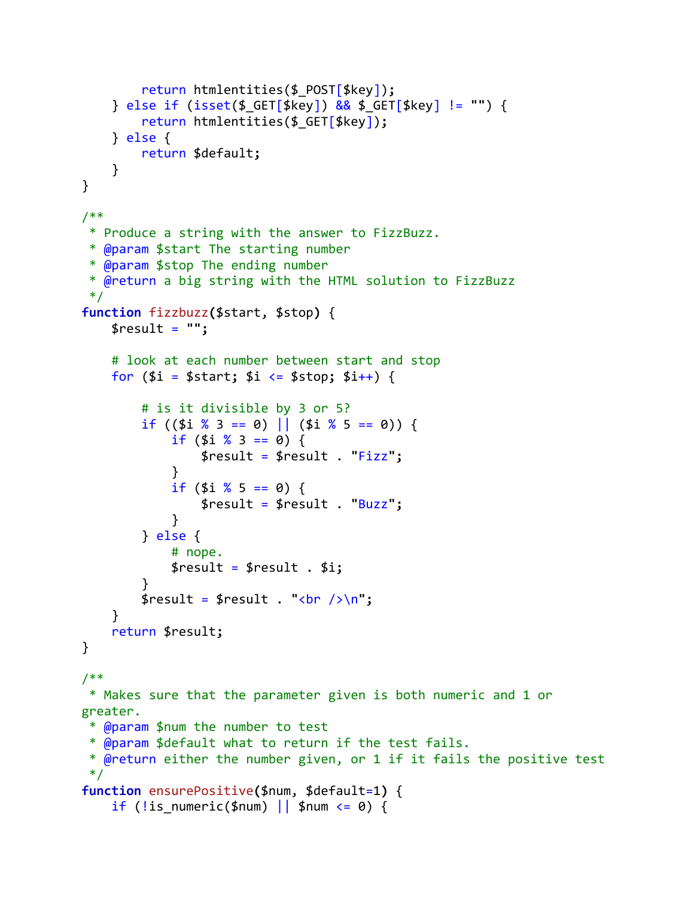```
 return htmlentities($_POST[$key]);
     } else if (isset($_GET[$key]) && $_GET[$key] != "") {
         return htmlentities($_GET[$key]);
     } else {
        return $default;
     }
}
/**
 * Produce a string with the answer to FizzBuzz.
 * @param $start The starting number
 * @param $stop The ending number
 * @return a big string with the HTML solution to FizzBuzz
 */
function fizzbuzz($start, $stop) {
     $result = "";
     # look at each number between start and stop
     for ($i = $start; $i <= $stop; $i++) {
         # is it divisible by 3 or 5?
        if ((5i \ 8 \ 3 == 0) || (5i \ 8 \ 5 == 0))if (\frac{1}{2} \times 3 == 0) {
                 $result = $result . "Fizz";
 }
            if (\frac{1}{2} \times 5 == 0) {
                 $result = $result . "Buzz";
 }
         } else {
             # nope.
             $result = $result . $i;
 }
        $result = $result : "cbr />\n";
     }
     return $result;
}
/**
* Makes sure that the parameter given is both numeric and 1 or 
greater.
 * @param $num the number to test
 * @param $default what to return if the test fails.
 * @return either the number given, or 1 if it fails the positive test
 */
function ensurePositive($num, $default=1) {
    if (!is numeric($num) || $num \leq 0) {
```